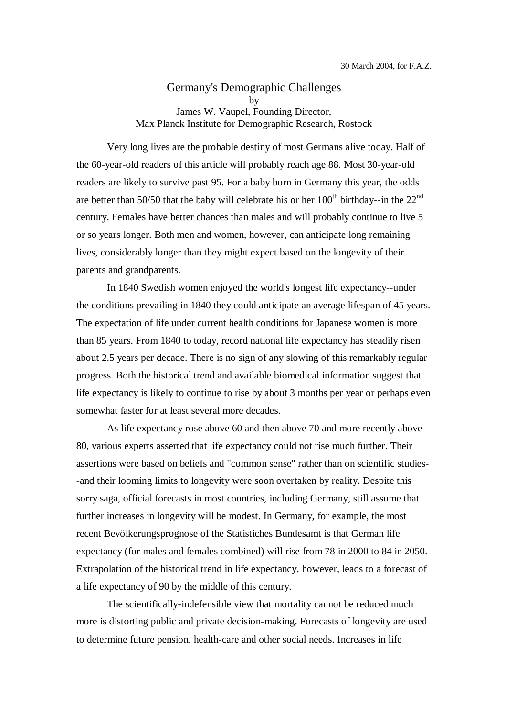Germany's Demographic Challenges by James W. Vaupel, Founding Director, Max Planck Institute for Demographic Research, Rostock

 Very long lives are the probable destiny of most Germans alive today. Half of the 60-year-old readers of this article will probably reach age 88. Most 30-year-old readers are likely to survive past 95. For a baby born in Germany this year, the odds are better than 50/50 that the baby will celebrate his or her  $100<sup>th</sup>$  birthday--in the  $22<sup>nd</sup>$ century. Females have better chances than males and will probably continue to live 5 or so years longer. Both men and women, however, can anticipate long remaining lives, considerably longer than they might expect based on the longevity of their parents and grandparents.

 In 1840 Swedish women enjoyed the world's longest life expectancy--under the conditions prevailing in 1840 they could anticipate an average lifespan of 45 years. The expectation of life under current health conditions for Japanese women is more than 85 years. From 1840 to today, record national life expectancy has steadily risen about 2.5 years per decade. There is no sign of any slowing of this remarkably regular progress. Both the historical trend and available biomedical information suggest that life expectancy is likely to continue to rise by about 3 months per year or perhaps even somewhat faster for at least several more decades.

As life expectancy rose above 60 and then above 70 and more recently above 80, various experts asserted that life expectancy could not rise much further. Their assertions were based on beliefs and "common sense" rather than on scientific studies- -and their looming limits to longevity were soon overtaken by reality. Despite this sorry saga, official forecasts in most countries, including Germany, still assume that further increases in longevity will be modest. In Germany, for example, the most recent Bevölkerungsprognose of the Statistiches Bundesamt is that German life expectancy (for males and females combined) will rise from 78 in 2000 to 84 in 2050. Extrapolation of the historical trend in life expectancy, however, leads to a forecast of a life expectancy of 90 by the middle of this century.

The scientifically-indefensible view that mortality cannot be reduced much more is distorting public and private decision-making. Forecasts of longevity are used to determine future pension, health-care and other social needs. Increases in life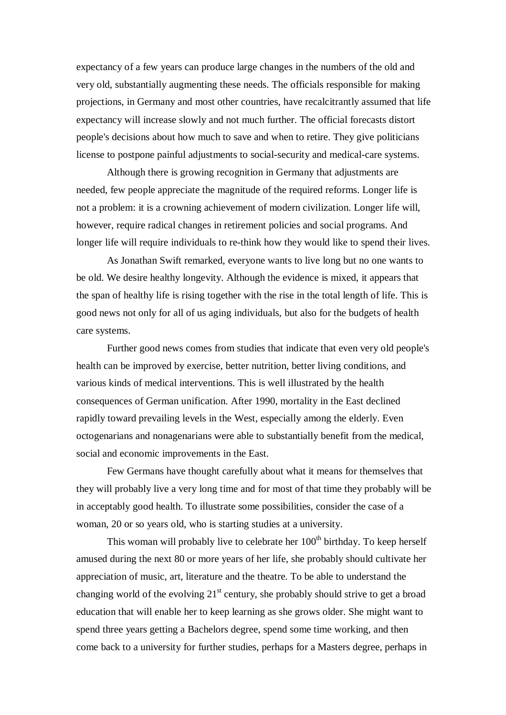expectancy of a few years can produce large changes in the numbers of the old and very old, substantially augmenting these needs. The officials responsible for making projections, in Germany and most other countries, have recalcitrantly assumed that life expectancy will increase slowly and not much further. The official forecasts distort people's decisions about how much to save and when to retire. They give politicians license to postpone painful adjustments to social-security and medical-care systems.

Although there is growing recognition in Germany that adjustments are needed, few people appreciate the magnitude of the required reforms. Longer life is not a problem: it is a crowning achievement of modern civilization. Longer life will, however, require radical changes in retirement policies and social programs. And longer life will require individuals to re-think how they would like to spend their lives.

As Jonathan Swift remarked, everyone wants to live long but no one wants to be old. We desire healthy longevity. Although the evidence is mixed, it appears that the span of healthy life is rising together with the rise in the total length of life. This is good news not only for all of us aging individuals, but also for the budgets of health care systems.

Further good news comes from studies that indicate that even very old people's health can be improved by exercise, better nutrition, better living conditions, and various kinds of medical interventions. This is well illustrated by the health consequences of German unification. After 1990, mortality in the East declined rapidly toward prevailing levels in the West, especially among the elderly. Even octogenarians and nonagenarians were able to substantially benefit from the medical, social and economic improvements in the East.

Few Germans have thought carefully about what it means for themselves that they will probably live a very long time and for most of that time they probably will be in acceptably good health. To illustrate some possibilities, consider the case of a woman, 20 or so years old, who is starting studies at a university.

This woman will probably live to celebrate her  $100<sup>th</sup>$  birthday. To keep herself amused during the next 80 or more years of her life, she probably should cultivate her appreciation of music, art, literature and the theatre. To be able to understand the changing world of the evolving  $21<sup>st</sup>$  century, she probably should strive to get a broad education that will enable her to keep learning as she grows older. She might want to spend three years getting a Bachelors degree, spend some time working, and then come back to a university for further studies, perhaps for a Masters degree, perhaps in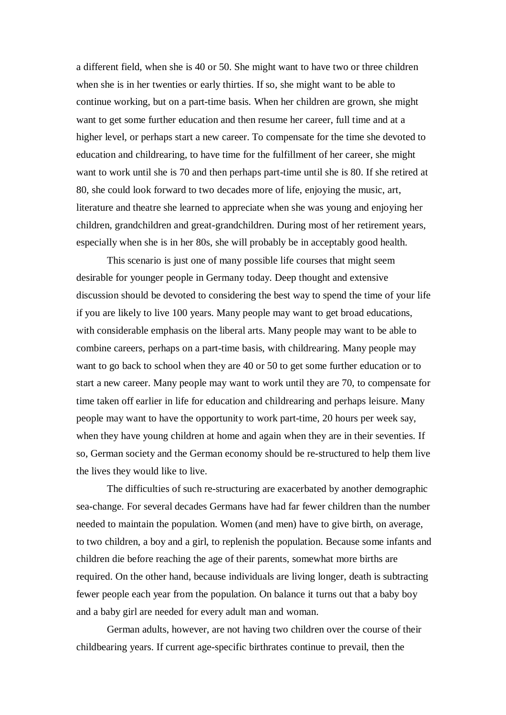a different field, when she is 40 or 50. She might want to have two or three children when she is in her twenties or early thirties. If so, she might want to be able to continue working, but on a part-time basis. When her children are grown, she might want to get some further education and then resume her career, full time and at a higher level, or perhaps start a new career. To compensate for the time she devoted to education and childrearing, to have time for the fulfillment of her career, she might want to work until she is 70 and then perhaps part-time until she is 80. If she retired at 80, she could look forward to two decades more of life, enjoying the music, art, literature and theatre she learned to appreciate when she was young and enjoying her children, grandchildren and great-grandchildren. During most of her retirement years, especially when she is in her 80s, she will probably be in acceptably good health.

This scenario is just one of many possible life courses that might seem desirable for younger people in Germany today. Deep thought and extensive discussion should be devoted to considering the best way to spend the time of your life if you are likely to live 100 years. Many people may want to get broad educations, with considerable emphasis on the liberal arts. Many people may want to be able to combine careers, perhaps on a part-time basis, with childrearing. Many people may want to go back to school when they are 40 or 50 to get some further education or to start a new career. Many people may want to work until they are 70, to compensate for time taken off earlier in life for education and childrearing and perhaps leisure. Many people may want to have the opportunity to work part-time, 20 hours per week say, when they have young children at home and again when they are in their seventies. If so, German society and the German economy should be re-structured to help them live the lives they would like to live.

The difficulties of such re-structuring are exacerbated by another demographic sea-change. For several decades Germans have had far fewer children than the number needed to maintain the population. Women (and men) have to give birth, on average, to two children, a boy and a girl, to replenish the population. Because some infants and children die before reaching the age of their parents, somewhat more births are required. On the other hand, because individuals are living longer, death is subtracting fewer people each year from the population. On balance it turns out that a baby boy and a baby girl are needed for every adult man and woman.

German adults, however, are not having two children over the course of their childbearing years. If current age-specific birthrates continue to prevail, then the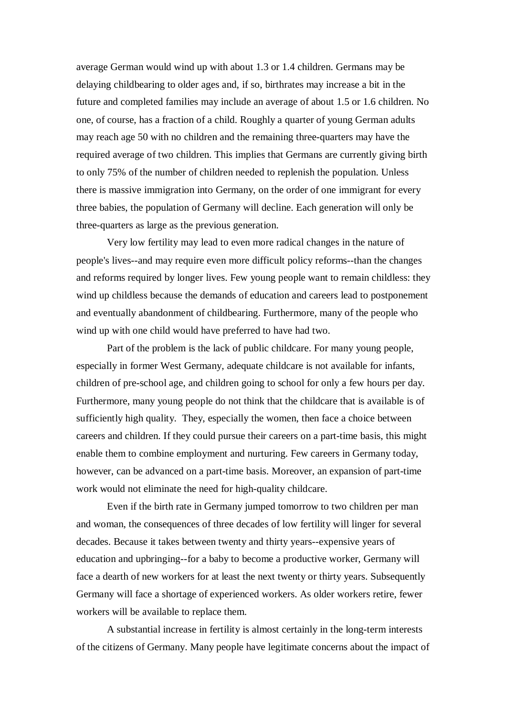average German would wind up with about 1.3 or 1.4 children. Germans may be delaying childbearing to older ages and, if so, birthrates may increase a bit in the future and completed families may include an average of about 1.5 or 1.6 children. No one, of course, has a fraction of a child. Roughly a quarter of young German adults may reach age 50 with no children and the remaining three-quarters may have the required average of two children. This implies that Germans are currently giving birth to only 75% of the number of children needed to replenish the population. Unless there is massive immigration into Germany, on the order of one immigrant for every three babies, the population of Germany will decline. Each generation will only be three-quarters as large as the previous generation.

Very low fertility may lead to even more radical changes in the nature of people's lives--and may require even more difficult policy reforms--than the changes and reforms required by longer lives. Few young people want to remain childless: they wind up childless because the demands of education and careers lead to postponement and eventually abandonment of childbearing. Furthermore, many of the people who wind up with one child would have preferred to have had two.

Part of the problem is the lack of public childcare. For many young people, especially in former West Germany, adequate childcare is not available for infants, children of pre-school age, and children going to school for only a few hours per day. Furthermore, many young people do not think that the childcare that is available is of sufficiently high quality. They, especially the women, then face a choice between careers and children. If they could pursue their careers on a part-time basis, this might enable them to combine employment and nurturing. Few careers in Germany today, however, can be advanced on a part-time basis. Moreover, an expansion of part-time work would not eliminate the need for high-quality childcare.

Even if the birth rate in Germany jumped tomorrow to two children per man and woman, the consequences of three decades of low fertility will linger for several decades. Because it takes between twenty and thirty years--expensive years of education and upbringing--for a baby to become a productive worker, Germany will face a dearth of new workers for at least the next twenty or thirty years. Subsequently Germany will face a shortage of experienced workers. As older workers retire, fewer workers will be available to replace them.

A substantial increase in fertility is almost certainly in the long-term interests of the citizens of Germany. Many people have legitimate concerns about the impact of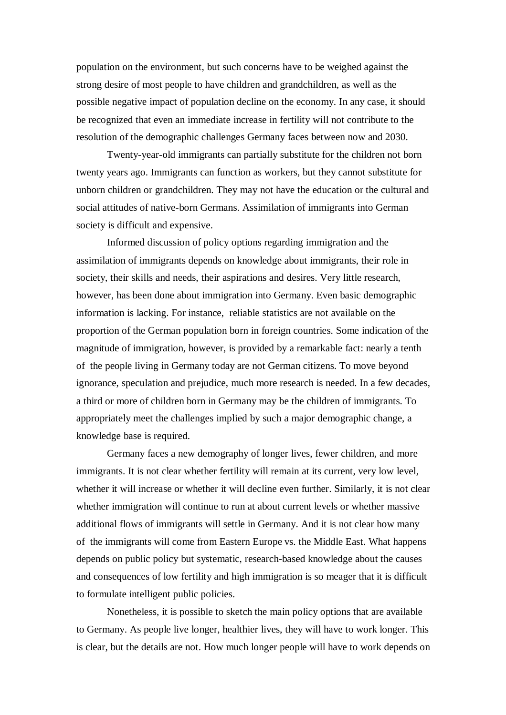population on the environment, but such concerns have to be weighed against the strong desire of most people to have children and grandchildren, as well as the possible negative impact of population decline on the economy. In any case, it should be recognized that even an immediate increase in fertility will not contribute to the resolution of the demographic challenges Germany faces between now and 2030.

Twenty-year-old immigrants can partially substitute for the children not born twenty years ago. Immigrants can function as workers, but they cannot substitute for unborn children or grandchildren. They may not have the education or the cultural and social attitudes of native-born Germans. Assimilation of immigrants into German society is difficult and expensive.

Informed discussion of policy options regarding immigration and the assimilation of immigrants depends on knowledge about immigrants, their role in society, their skills and needs, their aspirations and desires. Very little research, however, has been done about immigration into Germany. Even basic demographic information is lacking. For instance, reliable statistics are not available on the proportion of the German population born in foreign countries. Some indication of the magnitude of immigration, however, is provided by a remarkable fact: nearly a tenth of the people living in Germany today are not German citizens. To move beyond ignorance, speculation and prejudice, much more research is needed. In a few decades, a third or more of children born in Germany may be the children of immigrants. To appropriately meet the challenges implied by such a major demographic change, a knowledge base is required.

Germany faces a new demography of longer lives, fewer children, and more immigrants. It is not clear whether fertility will remain at its current, very low level, whether it will increase or whether it will decline even further. Similarly, it is not clear whether immigration will continue to run at about current levels or whether massive additional flows of immigrants will settle in Germany. And it is not clear how many of the immigrants will come from Eastern Europe vs. the Middle East. What happens depends on public policy but systematic, research-based knowledge about the causes and consequences of low fertility and high immigration is so meager that it is difficult to formulate intelligent public policies.

Nonetheless, it is possible to sketch the main policy options that are available to Germany. As people live longer, healthier lives, they will have to work longer. This is clear, but the details are not. How much longer people will have to work depends on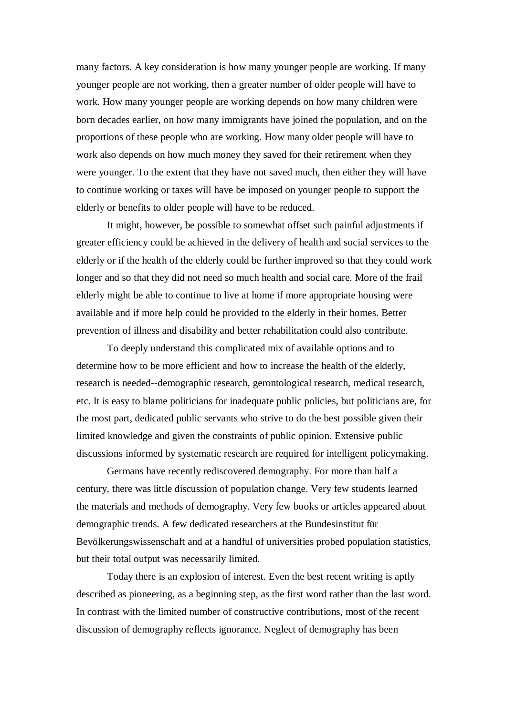many factors. A key consideration is how many younger people are working. If many younger people are not working, then a greater number of older people will have to work. How many younger people are working depends on how many children were born decades earlier, on how many immigrants have joined the population, and on the proportions of these people who are working. How many older people will have to work also depends on how much money they saved for their retirement when they were younger. To the extent that they have not saved much, then either they will have to continue working or taxes will have be imposed on younger people to support the elderly or benefits to older people will have to be reduced.

It might, however, be possible to somewhat offset such painful adjustments if greater efficiency could be achieved in the delivery of health and social services to the elderly or if the health of the elderly could be further improved so that they could work longer and so that they did not need so much health and social care. More of the frail elderly might be able to continue to live at home if more appropriate housing were available and if more help could be provided to the elderly in their homes. Better prevention of illness and disability and better rehabilitation could also contribute.

To deeply understand this complicated mix of available options and to determine how to be more efficient and how to increase the health of the elderly, research is needed--demographic research, gerontological research, medical research, etc. It is easy to blame politicians for inadequate public policies, but politicians are, for the most part, dedicated public servants who strive to do the best possible given their limited knowledge and given the constraints of public opinion. Extensive public discussions informed by systematic research are required for intelligent policymaking.

Germans have recently rediscovered demography. For more than half a century, there was little discussion of population change. Very few students learned the materials and methods of demography. Very few books or articles appeared about demographic trends. A few dedicated researchers at the Bundesinstitut für Bevölkerungswissenschaft and at a handful of universities probed population statistics, but their total output was necessarily limited.

Today there is an explosion of interest. Even the best recent writing is aptly described as pioneering, as a beginning step, as the first word rather than the last word. In contrast with the limited number of constructive contributions, most of the recent discussion of demography reflects ignorance. Neglect of demography has been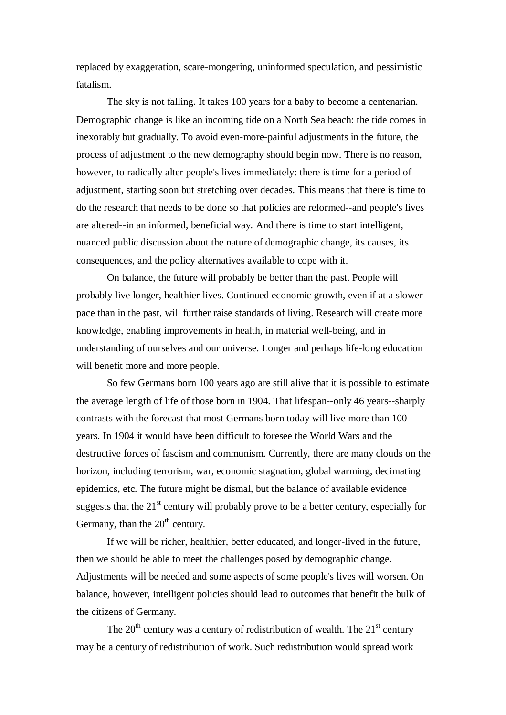replaced by exaggeration, scare-mongering, uninformed speculation, and pessimistic fatalism.

The sky is not falling. It takes 100 years for a baby to become a centenarian. Demographic change is like an incoming tide on a North Sea beach: the tide comes in inexorably but gradually. To avoid even-more-painful adjustments in the future, the process of adjustment to the new demography should begin now. There is no reason, however, to radically alter people's lives immediately: there is time for a period of adjustment, starting soon but stretching over decades. This means that there is time to do the research that needs to be done so that policies are reformed--and people's lives are altered--in an informed, beneficial way. And there is time to start intelligent, nuanced public discussion about the nature of demographic change, its causes, its consequences, and the policy alternatives available to cope with it.

On balance, the future will probably be better than the past. People will probably live longer, healthier lives. Continued economic growth, even if at a slower pace than in the past, will further raise standards of living. Research will create more knowledge, enabling improvements in health, in material well-being, and in understanding of ourselves and our universe. Longer and perhaps life-long education will benefit more and more people.

So few Germans born 100 years ago are still alive that it is possible to estimate the average length of life of those born in 1904. That lifespan--only 46 years--sharply contrasts with the forecast that most Germans born today will live more than 100 years. In 1904 it would have been difficult to foresee the World Wars and the destructive forces of fascism and communism. Currently, there are many clouds on the horizon, including terrorism, war, economic stagnation, global warming, decimating epidemics, etc. The future might be dismal, but the balance of available evidence suggests that the  $21<sup>st</sup>$  century will probably prove to be a better century, especially for Germany, than the  $20<sup>th</sup>$  century.

If we will be richer, healthier, better educated, and longer-lived in the future, then we should be able to meet the challenges posed by demographic change. Adjustments will be needed and some aspects of some people's lives will worsen. On balance, however, intelligent policies should lead to outcomes that benefit the bulk of the citizens of Germany.

The  $20<sup>th</sup>$  century was a century of redistribution of wealth. The  $21<sup>st</sup>$  century may be a century of redistribution of work. Such redistribution would spread work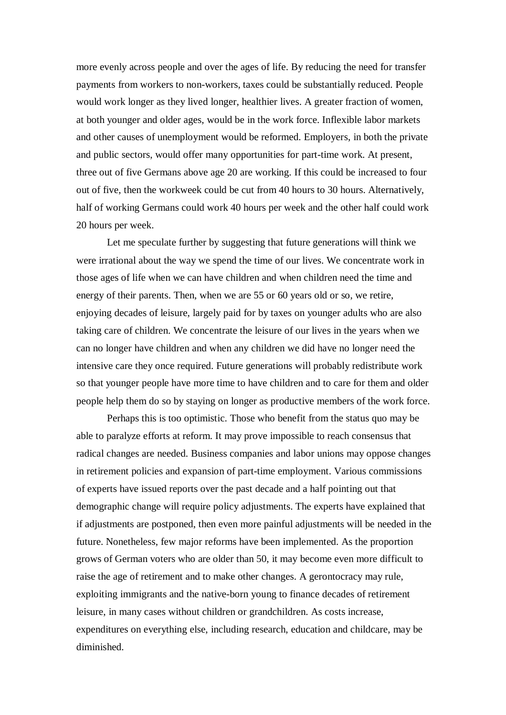more evenly across people and over the ages of life. By reducing the need for transfer payments from workers to non-workers, taxes could be substantially reduced. People would work longer as they lived longer, healthier lives. A greater fraction of women, at both younger and older ages, would be in the work force. Inflexible labor markets and other causes of unemployment would be reformed. Employers, in both the private and public sectors, would offer many opportunities for part-time work. At present, three out of five Germans above age 20 are working. If this could be increased to four out of five, then the workweek could be cut from 40 hours to 30 hours. Alternatively, half of working Germans could work 40 hours per week and the other half could work 20 hours per week.

Let me speculate further by suggesting that future generations will think we were irrational about the way we spend the time of our lives. We concentrate work in those ages of life when we can have children and when children need the time and energy of their parents. Then, when we are 55 or 60 years old or so, we retire, enjoying decades of leisure, largely paid for by taxes on younger adults who are also taking care of children. We concentrate the leisure of our lives in the years when we can no longer have children and when any children we did have no longer need the intensive care they once required. Future generations will probably redistribute work so that younger people have more time to have children and to care for them and older people help them do so by staying on longer as productive members of the work force.

Perhaps this is too optimistic. Those who benefit from the status quo may be able to paralyze efforts at reform. It may prove impossible to reach consensus that radical changes are needed. Business companies and labor unions may oppose changes in retirement policies and expansion of part-time employment. Various commissions of experts have issued reports over the past decade and a half pointing out that demographic change will require policy adjustments. The experts have explained that if adjustments are postponed, then even more painful adjustments will be needed in the future. Nonetheless, few major reforms have been implemented. As the proportion grows of German voters who are older than 50, it may become even more difficult to raise the age of retirement and to make other changes. A gerontocracy may rule, exploiting immigrants and the native-born young to finance decades of retirement leisure, in many cases without children or grandchildren. As costs increase, expenditures on everything else, including research, education and childcare, may be diminished.